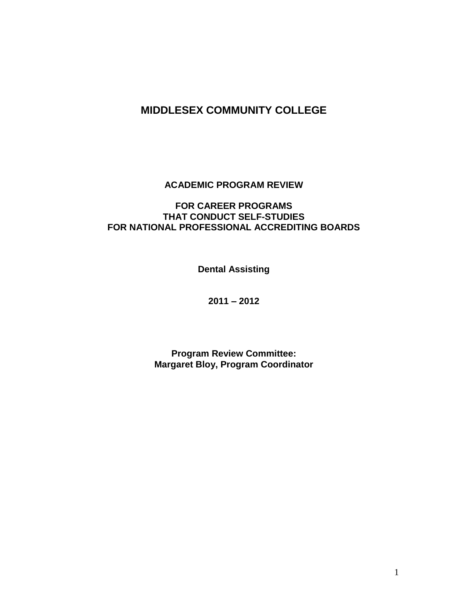# **MIDDLESEX COMMUNITY COLLEGE**

**ACADEMIC PROGRAM REVIEW**

### **FOR CAREER PROGRAMS THAT CONDUCT SELF-STUDIES FOR NATIONAL PROFESSIONAL ACCREDITING BOARDS**

**Dental Assisting**

**2011 – 2012**

**Program Review Committee: Margaret Bloy, Program Coordinator**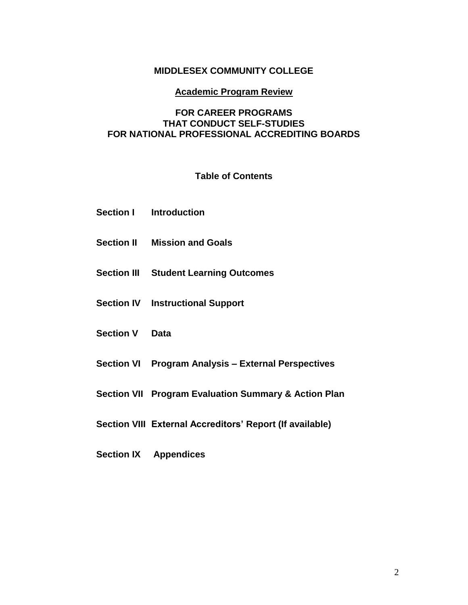### **MIDDLESEX COMMUNITY COLLEGE**

#### **Academic Program Review**

#### **FOR CAREER PROGRAMS THAT CONDUCT SELF-STUDIES FOR NATIONAL PROFESSIONAL ACCREDITING BOARDS**

#### **Table of Contents**

- **Section I Introduction**
- **Section II Mission and Goals**
- **Section III Student Learning Outcomes**
- **Section IV Instructional Support**
- **Section V Data**
- **Section VI Program Analysis – External Perspectives**
- **Section VII Program Evaluation Summary & Action Plan**
- **Section VIII External Accreditors' Report (If available)**
- **Section IX Appendices**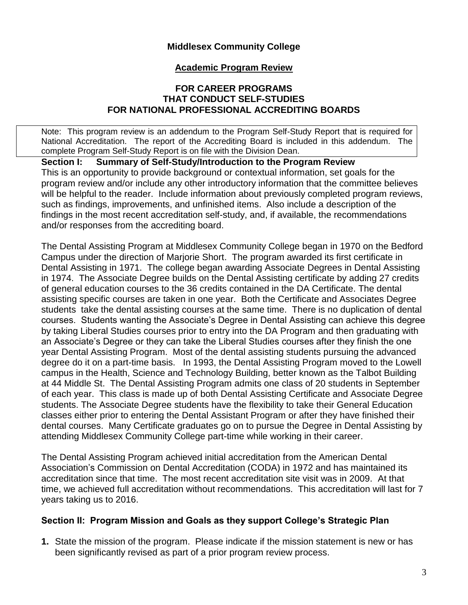### **Middlesex Community College**

#### **Academic Program Review**

#### **FOR CAREER PROGRAMS THAT CONDUCT SELF-STUDIES FOR NATIONAL PROFESSIONAL ACCREDITING BOARDS**

Note: This program review is an addendum to the Program Self-Study Report that is required for National Accreditation. The report of the Accrediting Board is included in this addendum. The complete Program Self-Study Report is on file with the Division Dean.

**Section I: Summary of Self-Study/Introduction to the Program Review** This is an opportunity to provide background or contextual information, set goals for the program review and/or include any other introductory information that the committee believes will be helpful to the reader. Include information about previously completed program reviews, such as findings, improvements, and unfinished items. Also include a description of the findings in the most recent accreditation self-study, and, if available, the recommendations and/or responses from the accrediting board.

The Dental Assisting Program at Middlesex Community College began in 1970 on the Bedford Campus under the direction of Marjorie Short. The program awarded its first certificate in Dental Assisting in 1971. The college began awarding Associate Degrees in Dental Assisting in 1974. The Associate Degree builds on the Dental Assisting certificate by adding 27 credits of general education courses to the 36 credits contained in the DA Certificate. The dental assisting specific courses are taken in one year. Both the Certificate and Associates Degree students take the dental assisting courses at the same time. There is no duplication of dental courses. Students wanting the Associate's Degree in Dental Assisting can achieve this degree by taking Liberal Studies courses prior to entry into the DA Program and then graduating with an Associate's Degree or they can take the Liberal Studies courses after they finish the one year Dental Assisting Program. Most of the dental assisting students pursuing the advanced degree do it on a part-time basis. In 1993, the Dental Assisting Program moved to the Lowell campus in the Health, Science and Technology Building, better known as the Talbot Building at 44 Middle St. The Dental Assisting Program admits one class of 20 students in September of each year. This class is made up of both Dental Assisting Certificate and Associate Degree students. The Associate Degree students have the flexibility to take their General Education classes either prior to entering the Dental Assistant Program or after they have finished their dental courses. Many Certificate graduates go on to pursue the Degree in Dental Assisting by attending Middlesex Community College part-time while working in their career.

The Dental Assisting Program achieved initial accreditation from the American Dental Association's Commission on Dental Accreditation (CODA) in 1972 and has maintained its accreditation since that time. The most recent accreditation site visit was in 2009. At that time, we achieved full accreditation without recommendations. This accreditation will last for 7 years taking us to 2016.

#### **Section II: Program Mission and Goals as they support College's Strategic Plan**

**1.** State the mission of the program. Please indicate if the mission statement is new or has been significantly revised as part of a prior program review process.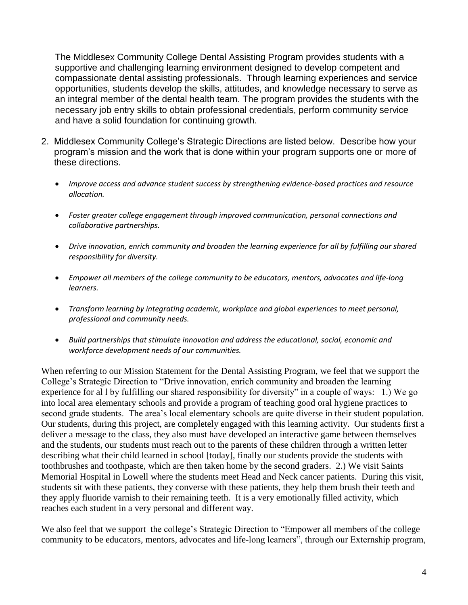The Middlesex Community College Dental Assisting Program provides students with a supportive and challenging learning environment designed to develop competent and compassionate dental assisting professionals. Through learning experiences and service opportunities, students develop the skills, attitudes, and knowledge necessary to serve as an integral member of the dental health team. The program provides the students with the necessary job entry skills to obtain professional credentials, perform community service and have a solid foundation for continuing growth.

- 2. Middlesex Community College's Strategic Directions are listed below. Describe how your program's mission and the work that is done within your program supports one or more of these directions.
	- *Improve access and advance student success by strengthening evidence-based practices and resource allocation.*
	- *Foster greater college engagement through improved communication, personal connections and collaborative partnerships.*
	- *Drive innovation, enrich community and broaden the learning experience for all by fulfilling our shared responsibility for diversity.*
	- *Empower all members of the college community to be educators, mentors, advocates and life-long learners.*
	- *Transform learning by integrating academic, workplace and global experiences to meet personal, professional and community needs.*
	- *Build partnerships that stimulate innovation and address the educational, social, economic and workforce development needs of our communities.*

When referring to our Mission Statement for the Dental Assisting Program, we feel that we support the College's Strategic Direction to "Drive innovation, enrich community and broaden the learning experience for al l by fulfilling our shared responsibility for diversity" in a couple of ways: 1.) We go into local area elementary schools and provide a program of teaching good oral hygiene practices to second grade students. The area's local elementary schools are quite diverse in their student population. Our students, during this project, are completely engaged with this learning activity. Our students first a deliver a message to the class, they also must have developed an interactive game between themselves and the students, our students must reach out to the parents of these children through a written letter describing what their child learned in school [today], finally our students provide the students with toothbrushes and toothpaste, which are then taken home by the second graders. 2.) We visit Saints Memorial Hospital in Lowell where the students meet Head and Neck cancer patients. During this visit, students sit with these patients, they converse with these patients, they help them brush their teeth and they apply fluoride varnish to their remaining teeth. It is a very emotionally filled activity, which reaches each student in a very personal and different way.

We also feel that we support the college's Strategic Direction to "Empower all members of the college community to be educators, mentors, advocates and life-long learners", through our Externship program,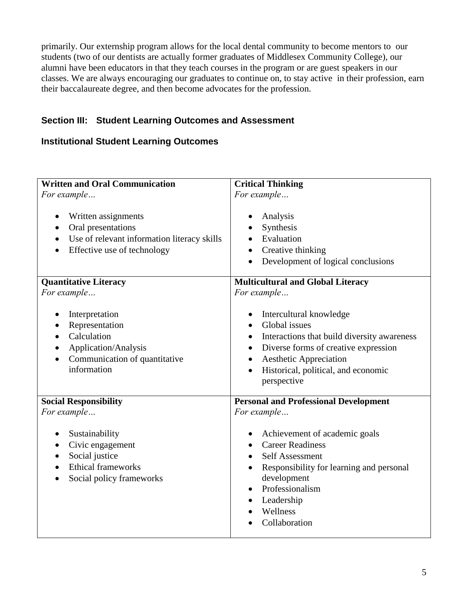primarily. Our externship program allows for the local dental community to become mentors to our students (two of our dentists are actually former graduates of Middlesex Community College), our alumni have been educators in that they teach courses in the program or are guest speakers in our classes. We are always encouraging our graduates to continue on, to stay active in their profession, earn their baccalaureate degree, and then become advocates for the profession.

## **Section III: Student Learning Outcomes and Assessment**

## **Institutional Student Learning Outcomes**

| <b>Written and Oral Communication</b>                                                                                                | <b>Critical Thinking</b>                                                                                                                                                                                                                                                        |
|--------------------------------------------------------------------------------------------------------------------------------------|---------------------------------------------------------------------------------------------------------------------------------------------------------------------------------------------------------------------------------------------------------------------------------|
| For example                                                                                                                          | For example                                                                                                                                                                                                                                                                     |
| Written assignments<br>Oral presentations<br>$\bullet$<br>Use of relevant information literacy skills<br>Effective use of technology | Analysis<br>$\bullet$<br>Synthesis<br>Evaluation<br>Creative thinking<br>Development of logical conclusions<br>$\bullet$                                                                                                                                                        |
| <b>Quantitative Literacy</b>                                                                                                         | <b>Multicultural and Global Literacy</b>                                                                                                                                                                                                                                        |
| For example                                                                                                                          | For example                                                                                                                                                                                                                                                                     |
| Interpretation<br>Representation<br>Calculation<br>$\bullet$<br>Application/Analysis<br>Communication of quantitative<br>information | Intercultural knowledge<br>٠<br>Global issues<br>Interactions that build diversity awareness<br>$\bullet$<br>Diverse forms of creative expression<br>$\bullet$<br><b>Aesthetic Appreciation</b><br>$\bullet$<br>Historical, political, and economic<br>$\bullet$<br>perspective |
| <b>Social Responsibility</b>                                                                                                         | <b>Personal and Professional Development</b>                                                                                                                                                                                                                                    |
| For example                                                                                                                          | For example                                                                                                                                                                                                                                                                     |
| Sustainability<br>Civic engagement<br>$\bullet$<br>Social justice<br><b>Ethical frameworks</b><br>Social policy frameworks           | Achievement of academic goals<br><b>Career Readiness</b><br><b>Self Assessment</b><br>$\bullet$<br>Responsibility for learning and personal<br>development<br>Professionalism<br>$\bullet$<br>Leadership<br>Wellness<br>$\bullet$<br>Collaboration                              |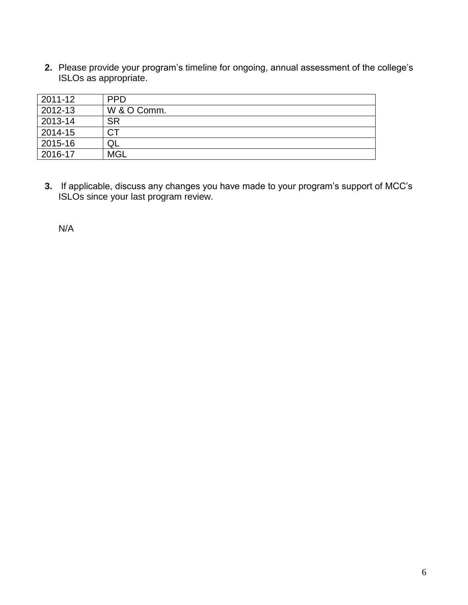**2.** Please provide your program's timeline for ongoing, annual assessment of the college's ISLOs as appropriate.

| 2011-12 | <b>PPD</b>  |
|---------|-------------|
| 2012-13 | W & O Comm. |
| 2013-14 | <b>SR</b>   |
| 2014-15 | <b>CT</b>   |
| 2015-16 | QL          |
| 2016-17 | <b>MGL</b>  |

**3.** If applicable, discuss any changes you have made to your program's support of MCC's ISLOs since your last program review.

N/A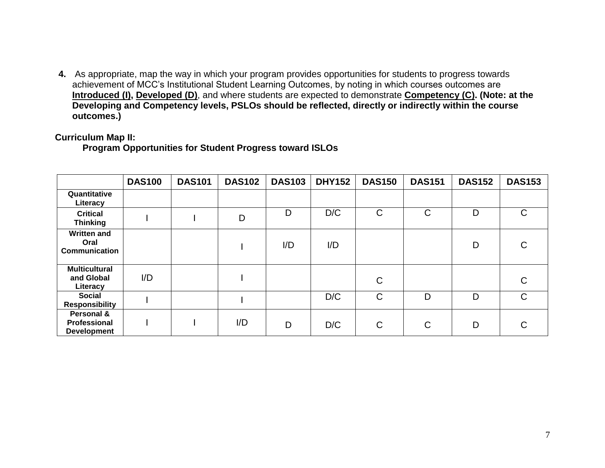**4.** As appropriate, map the way in which your program provides opportunities for students to progress towards achievement of MCC's Institutional Student Learning Outcomes, by noting in which courses outcomes are **Introduced (I), Developed (D)**, and where students are expected to demonstrate **Competency (C). (Note: at the Developing and Competency levels, PSLOs should be reflected, directly or indirectly within the course outcomes.)**

#### **Curriculum Map II:**

**Program Opportunities for Student Progress toward ISLOs**

|                                                    | <b>DAS100</b> | <b>DAS101</b> | <b>DAS102</b> | <b>DAS103</b> | <b>DHY152</b> | <b>DAS150</b> | <b>DAS151</b> | <b>DAS152</b> | <b>DAS153</b> |
|----------------------------------------------------|---------------|---------------|---------------|---------------|---------------|---------------|---------------|---------------|---------------|
| Quantitative<br>Literacy                           |               |               |               |               |               |               |               |               |               |
| <b>Critical</b><br><b>Thinking</b>                 |               |               | D             | D             | D/C           | $\mathsf C$   | $\mathsf{C}$  | D             | $\mathsf{C}$  |
| <b>Written and</b><br>Oral<br><b>Communication</b> |               |               |               | I/D           | I/D           |               |               | D             | $\mathsf{C}$  |
| <b>Multicultural</b><br>and Global<br>Literacy     | I/D           |               |               |               |               | C             |               |               | $\mathsf{C}$  |
| <b>Social</b><br><b>Responsibility</b>             |               |               |               |               | D/C           | $\mathsf{C}$  | D             | D             | $\mathsf{C}$  |
| Personal &<br>Professional<br><b>Development</b>   |               |               | I/D           | D             | D/C           | C             | $\mathsf{C}$  | D             | C             |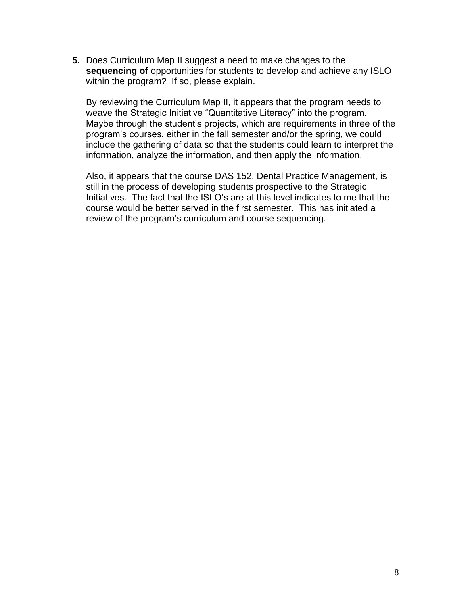**5.** Does Curriculum Map II suggest a need to make changes to the **sequencing of** opportunities for students to develop and achieve any ISLO within the program? If so, please explain.

By reviewing the Curriculum Map II, it appears that the program needs to weave the Strategic Initiative "Quantitative Literacy" into the program. Maybe through the student's projects, which are requirements in three of the program's courses, either in the fall semester and/or the spring, we could include the gathering of data so that the students could learn to interpret the information, analyze the information, and then apply the information.

Also, it appears that the course DAS 152, Dental Practice Management, is still in the process of developing students prospective to the Strategic Initiatives. The fact that the ISLO's are at this level indicates to me that the course would be better served in the first semester. This has initiated a review of the program's curriculum and course sequencing.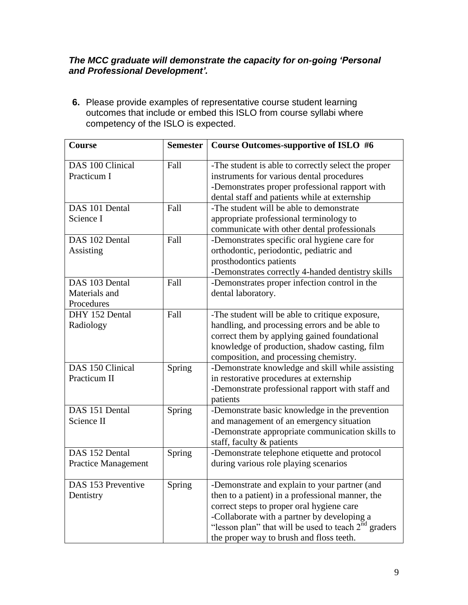### *The MCC graduate will demonstrate the capacity for on-going 'Personal and Professional Development'.*

**6.** Please provide examples of representative course student learning outcomes that include or embed this ISLO from course syllabi where competency of the ISLO is expected.

| Course                                        | <b>Semester</b> | Course Outcomes-supportive of ISLO #6                                                                                                                                                                                                                                                               |
|-----------------------------------------------|-----------------|-----------------------------------------------------------------------------------------------------------------------------------------------------------------------------------------------------------------------------------------------------------------------------------------------------|
| DAS 100 Clinical<br>Practicum I               | Fall            | -The student is able to correctly select the proper<br>instruments for various dental procedures<br>-Demonstrates proper professional rapport with<br>dental staff and patients while at externship                                                                                                 |
| DAS 101 Dental<br>Science I                   | Fall            | -The student will be able to demonstrate<br>appropriate professional terminology to<br>communicate with other dental professionals                                                                                                                                                                  |
| DAS 102 Dental<br>Assisting                   | Fall            | -Demonstrates specific oral hygiene care for<br>orthodontic, periodontic, pediatric and<br>prosthodontics patients<br>-Demonstrates correctly 4-handed dentistry skills                                                                                                                             |
| DAS 103 Dental<br>Materials and<br>Procedures | Fall            | -Demonstrates proper infection control in the<br>dental laboratory.                                                                                                                                                                                                                                 |
| DHY 152 Dental<br>Radiology                   | Fall            | -The student will be able to critique exposure,<br>handling, and processing errors and be able to<br>correct them by applying gained foundational<br>knowledge of production, shadow casting, film<br>composition, and processing chemistry.                                                        |
| DAS 150 Clinical<br>Practicum II              | Spring          | -Demonstrate knowledge and skill while assisting<br>in restorative procedures at externship<br>-Demonstrate professional rapport with staff and<br>patients                                                                                                                                         |
| DAS 151 Dental<br>Science II                  | Spring          | -Demonstrate basic knowledge in the prevention<br>and management of an emergency situation<br>-Demonstrate appropriate communication skills to<br>staff, faculty & patients                                                                                                                         |
| DAS 152 Dental<br><b>Practice Management</b>  | Spring          | -Demonstrate telephone etiquette and protocol<br>during various role playing scenarios                                                                                                                                                                                                              |
| DAS 153 Preventive<br>Dentistry               | Spring          | -Demonstrate and explain to your partner (and<br>then to a patient) in a professional manner, the<br>correct steps to proper oral hygiene care<br>-Collaborate with a partner by developing a<br>"lesson plan" that will be used to teach $2nd$ graders<br>the proper way to brush and floss teeth. |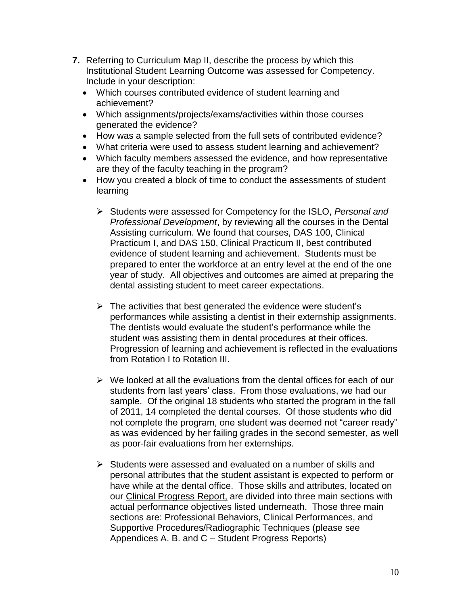- **7.** Referring to Curriculum Map II, describe the process by which this Institutional Student Learning Outcome was assessed for Competency. Include in your description:
	- Which courses contributed evidence of student learning and achievement?
	- Which assignments/projects/exams/activities within those courses generated the evidence?
	- How was a sample selected from the full sets of contributed evidence?
	- What criteria were used to assess student learning and achievement?
	- Which faculty members assessed the evidence, and how representative are they of the faculty teaching in the program?
	- How you created a block of time to conduct the assessments of student learning
		- Students were assessed for Competency for the ISLO, *Personal and Professional Development*, by reviewing all the courses in the Dental Assisting curriculum. We found that courses, DAS 100, Clinical Practicum I, and DAS 150, Clinical Practicum II, best contributed evidence of student learning and achievement. Students must be prepared to enter the workforce at an entry level at the end of the one year of study. All objectives and outcomes are aimed at preparing the dental assisting student to meet career expectations.
		- $\triangleright$  The activities that best generated the evidence were student's performances while assisting a dentist in their externship assignments. The dentists would evaluate the student's performance while the student was assisting them in dental procedures at their offices. Progression of learning and achievement is reflected in the evaluations from Rotation I to Rotation III.
		- $\triangleright$  We looked at all the evaluations from the dental offices for each of our students from last years' class. From those evaluations, we had our sample. Of the original 18 students who started the program in the fall of 2011, 14 completed the dental courses. Of those students who did not complete the program, one student was deemed not "career ready" as was evidenced by her failing grades in the second semester, as well as poor-fair evaluations from her externships.
		- $\triangleright$  Students were assessed and evaluated on a number of skills and personal attributes that the student assistant is expected to perform or have while at the dental office. Those skills and attributes, located on our Clinical Progress Report, are divided into three main sections with actual performance objectives listed underneath. Those three main sections are: Professional Behaviors, Clinical Performances, and Supportive Procedures/Radiographic Techniques (please see Appendices A. B. and C – Student Progress Reports)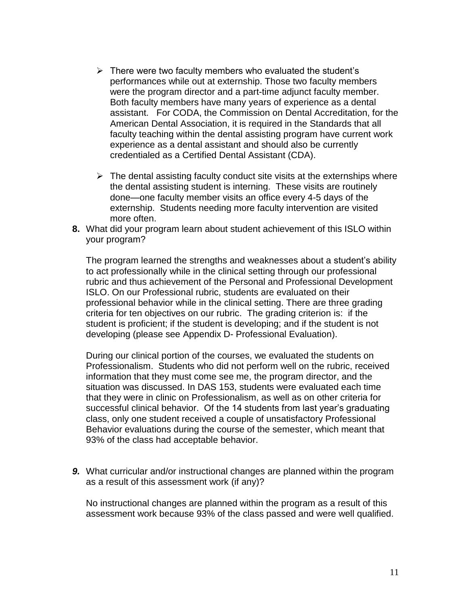- $\triangleright$  There were two faculty members who evaluated the student's performances while out at externship. Those two faculty members were the program director and a part-time adjunct faculty member. Both faculty members have many years of experience as a dental assistant. For CODA, the Commission on Dental Accreditation, for the American Dental Association, it is required in the Standards that all faculty teaching within the dental assisting program have current work experience as a dental assistant and should also be currently credentialed as a Certified Dental Assistant (CDA).
- $\triangleright$  The dental assisting faculty conduct site visits at the externships where the dental assisting student is interning. These visits are routinely done—one faculty member visits an office every 4-5 days of the externship. Students needing more faculty intervention are visited more often.
- **8.** What did your program learn about student achievement of this ISLO within your program?

The program learned the strengths and weaknesses about a student's ability to act professionally while in the clinical setting through our professional rubric and thus achievement of the Personal and Professional Development ISLO. On our Professional rubric, students are evaluated on their professional behavior while in the clinical setting. There are three grading criteria for ten objectives on our rubric. The grading criterion is: if the student is proficient; if the student is developing; and if the student is not developing (please see Appendix D- Professional Evaluation).

During our clinical portion of the courses, we evaluated the students on Professionalism. Students who did not perform well on the rubric, received information that they must come see me, the program director, and the situation was discussed. In DAS 153, students were evaluated each time that they were in clinic on Professionalism, as well as on other criteria for successful clinical behavior. Of the 14 students from last year's graduating class, only one student received a couple of unsatisfactory Professional Behavior evaluations during the course of the semester, which meant that 93% of the class had acceptable behavior.

*9.* What curricular and/or instructional changes are planned within the program as a result of this assessment work (if any)?

No instructional changes are planned within the program as a result of this assessment work because 93% of the class passed and were well qualified.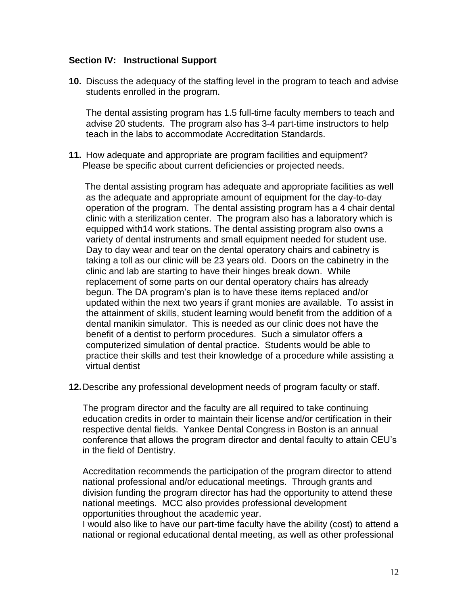#### **Section IV: Instructional Support**

**10.** Discuss the adequacy of the staffing level in the program to teach and advise students enrolled in the program.

The dental assisting program has 1.5 full-time faculty members to teach and advise 20 students. The program also has 3-4 part-time instructors to help teach in the labs to accommodate Accreditation Standards.

**11.** How adequate and appropriate are program facilities and equipment? Please be specific about current deficiencies or projected needs.

 The dental assisting program has adequate and appropriate facilities as well as the adequate and appropriate amount of equipment for the day-to-day operation of the program. The dental assisting program has a 4 chair dental clinic with a sterilization center. The program also has a laboratory which is equipped with14 work stations. The dental assisting program also owns a variety of dental instruments and small equipment needed for student use. Day to day wear and tear on the dental operatory chairs and cabinetry is taking a toll as our clinic will be 23 years old. Doors on the cabinetry in the clinic and lab are starting to have their hinges break down. While replacement of some parts on our dental operatory chairs has already begun. The DA program's plan is to have these items replaced and/or updated within the next two years if grant monies are available. To assist in the attainment of skills, student learning would benefit from the addition of a dental manikin simulator. This is needed as our clinic does not have the benefit of a dentist to perform procedures. Such a simulator offers a computerized simulation of dental practice. Students would be able to practice their skills and test their knowledge of a procedure while assisting a virtual dentist

**12.**Describe any professional development needs of program faculty or staff.

The program director and the faculty are all required to take continuing education credits in order to maintain their license and/or certification in their respective dental fields. Yankee Dental Congress in Boston is an annual conference that allows the program director and dental faculty to attain CEU's in the field of Dentistry.

Accreditation recommends the participation of the program director to attend national professional and/or educational meetings. Through grants and division funding the program director has had the opportunity to attend these national meetings. MCC also provides professional development opportunities throughout the academic year.

I would also like to have our part-time faculty have the ability (cost) to attend a national or regional educational dental meeting, as well as other professional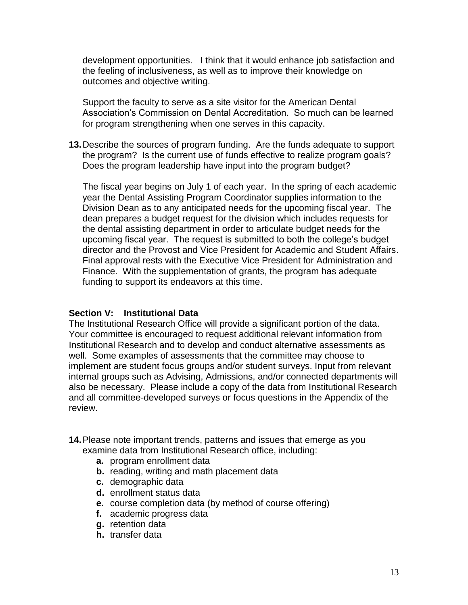development opportunities. I think that it would enhance job satisfaction and the feeling of inclusiveness, as well as to improve their knowledge on outcomes and objective writing.

Support the faculty to serve as a site visitor for the American Dental Association's Commission on Dental Accreditation. So much can be learned for program strengthening when one serves in this capacity.

**13.**Describe the sources of program funding. Are the funds adequate to support the program? Is the current use of funds effective to realize program goals? Does the program leadership have input into the program budget?

The fiscal year begins on July 1 of each year. In the spring of each academic year the Dental Assisting Program Coordinator supplies information to the Division Dean as to any anticipated needs for the upcoming fiscal year. The dean prepares a budget request for the division which includes requests for the dental assisting department in order to articulate budget needs for the upcoming fiscal year. The request is submitted to both the college's budget director and the Provost and Vice President for Academic and Student Affairs. Final approval rests with the Executive Vice President for Administration and Finance. With the supplementation of grants, the program has adequate funding to support its endeavors at this time.

#### **Section V: Institutional Data**

The Institutional Research Office will provide a significant portion of the data. Your committee is encouraged to request additional relevant information from Institutional Research and to develop and conduct alternative assessments as well. Some examples of assessments that the committee may choose to implement are student focus groups and/or student surveys. Input from relevant internal groups such as Advising, Admissions, and/or connected departments will also be necessary. Please include a copy of the data from Institutional Research and all committee-developed surveys or focus questions in the Appendix of the review.

- **14.**Please note important trends, patterns and issues that emerge as you examine data from Institutional Research office, including:
	- **a.** program enrollment data
	- **b.** reading, writing and math placement data
	- **c.** demographic data
	- **d.** enrollment status data
	- **e.** course completion data (by method of course offering)
	- **f.** academic progress data
	- **g.** retention data
	- **h.** transfer data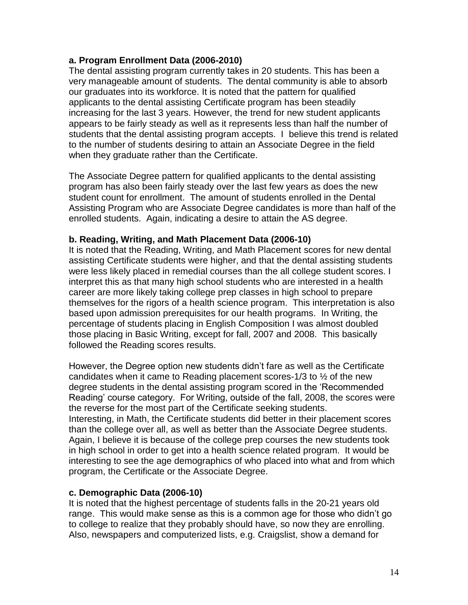### **a. Program Enrollment Data (2006-2010)**

The dental assisting program currently takes in 20 students. This has been a very manageable amount of students. The dental community is able to absorb our graduates into its workforce. It is noted that the pattern for qualified applicants to the dental assisting Certificate program has been steadily increasing for the last 3 years. However, the trend for new student applicants appears to be fairly steady as well as it represents less than half the number of students that the dental assisting program accepts. I believe this trend is related to the number of students desiring to attain an Associate Degree in the field when they graduate rather than the Certificate.

The Associate Degree pattern for qualified applicants to the dental assisting program has also been fairly steady over the last few years as does the new student count for enrollment. The amount of students enrolled in the Dental Assisting Program who are Associate Degree candidates is more than half of the enrolled students. Again, indicating a desire to attain the AS degree.

#### **b. Reading, Writing, and Math Placement Data (2006-10)**

It is noted that the Reading, Writing, and Math Placement scores for new dental assisting Certificate students were higher, and that the dental assisting students were less likely placed in remedial courses than the all college student scores. I interpret this as that many high school students who are interested in a health career are more likely taking college prep classes in high school to prepare themselves for the rigors of a health science program. This interpretation is also based upon admission prerequisites for our health programs. In Writing, the percentage of students placing in English Composition I was almost doubled those placing in Basic Writing, except for fall, 2007 and 2008. This basically followed the Reading scores results.

However, the Degree option new students didn't fare as well as the Certificate candidates when it came to Reading placement scores-1/3 to ½ of the new degree students in the dental assisting program scored in the 'Recommended Reading' course category. For Writing, outside of the fall, 2008, the scores were the reverse for the most part of the Certificate seeking students.

Interesting, in Math, the Certificate students did better in their placement scores than the college over all, as well as better than the Associate Degree students. Again, I believe it is because of the college prep courses the new students took in high school in order to get into a health science related program. It would be interesting to see the age demographics of who placed into what and from which program, the Certificate or the Associate Degree.

### **c. Demographic Data (2006-10)**

It is noted that the highest percentage of students falls in the 20-21 years old range. This would make sense as this is a common age for those who didn't go to college to realize that they probably should have, so now they are enrolling. Also, newspapers and computerized lists, e.g. Craigslist, show a demand for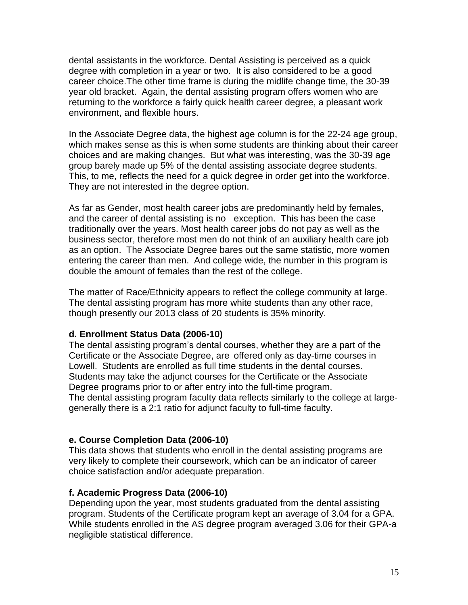dental assistants in the workforce. Dental Assisting is perceived as a quick degree with completion in a year or two. It is also considered to be a good career choice.The other time frame is during the midlife change time, the 30-39 year old bracket. Again, the dental assisting program offers women who are returning to the workforce a fairly quick health career degree, a pleasant work environment, and flexible hours.

In the Associate Degree data, the highest age column is for the 22-24 age group, which makes sense as this is when some students are thinking about their career choices and are making changes. But what was interesting, was the 30-39 age group barely made up 5% of the dental assisting associate degree students. This, to me, reflects the need for a quick degree in order get into the workforce. They are not interested in the degree option.

As far as Gender, most health career jobs are predominantly held by females, and the career of dental assisting is no exception. This has been the case traditionally over the years. Most health career jobs do not pay as well as the business sector, therefore most men do not think of an auxiliary health care job as an option. The Associate Degree bares out the same statistic, more women entering the career than men. And college wide, the number in this program is double the amount of females than the rest of the college.

The matter of Race/Ethnicity appears to reflect the college community at large. The dental assisting program has more white students than any other race, though presently our 2013 class of 20 students is 35% minority.

#### **d. Enrollment Status Data (2006-10)**

The dental assisting program's dental courses, whether they are a part of the Certificate or the Associate Degree, are offered only as day-time courses in Lowell. Students are enrolled as full time students in the dental courses. Students may take the adjunct courses for the Certificate or the Associate Degree programs prior to or after entry into the full-time program. The dental assisting program faculty data reflects similarly to the college at largegenerally there is a 2:1 ratio for adjunct faculty to full-time faculty.

#### **e. Course Completion Data (2006-10)**

This data shows that students who enroll in the dental assisting programs are very likely to complete their coursework, which can be an indicator of career choice satisfaction and/or adequate preparation.

#### **f. Academic Progress Data (2006-10)**

Depending upon the year, most students graduated from the dental assisting program. Students of the Certificate program kept an average of 3.04 for a GPA. While students enrolled in the AS degree program averaged 3.06 for their GPA-a negligible statistical difference.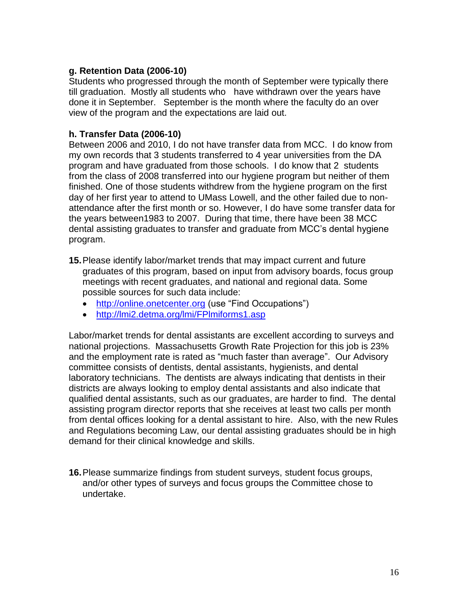### **g. Retention Data (2006-10)**

Students who progressed through the month of September were typically there till graduation. Mostly all students who have withdrawn over the years have done it in September. September is the month where the faculty do an over view of the program and the expectations are laid out.

### **h. Transfer Data (2006-10)**

Between 2006 and 2010, I do not have transfer data from MCC. I do know from my own records that 3 students transferred to 4 year universities from the DA program and have graduated from those schools. I do know that 2 students from the class of 2008 transferred into our hygiene program but neither of them finished. One of those students withdrew from the hygiene program on the first day of her first year to attend to UMass Lowell, and the other failed due to nonattendance after the first month or so. However, I do have some transfer data for the years between1983 to 2007. During that time, there have been 38 MCC dental assisting graduates to transfer and graduate from MCC's dental hygiene program.

- **15.**Please identify labor/market trends that may impact current and future graduates of this program, based on input from advisory boards, focus group meetings with recent graduates, and national and regional data. Some possible sources for such data include:
	- [http://online.onetcenter.org](http://online.onetcenter.org/) (use "Find Occupations")
	- <http://lmi2.detma.org/lmi/FPlmiforms1.asp>

Labor/market trends for dental assistants are excellent according to surveys and national projections. Massachusetts Growth Rate Projection for this job is 23% and the employment rate is rated as "much faster than average". Our Advisory committee consists of dentists, dental assistants, hygienists, and dental laboratory technicians. The dentists are always indicating that dentists in their districts are always looking to employ dental assistants and also indicate that qualified dental assistants, such as our graduates, are harder to find. The dental assisting program director reports that she receives at least two calls per month from dental offices looking for a dental assistant to hire. Also, with the new Rules and Regulations becoming Law, our dental assisting graduates should be in high demand for their clinical knowledge and skills.

**16.**Please summarize findings from student surveys, student focus groups, and/or other types of surveys and focus groups the Committee chose to undertake.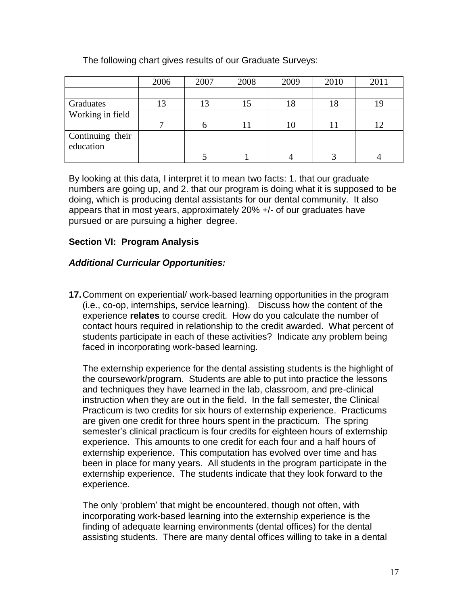## The following chart gives results of our Graduate Surveys:

|                  | 2006 | 2007 | 2008 | 2009 | 2010 | 2011 |
|------------------|------|------|------|------|------|------|
|                  |      |      |      |      |      |      |
| Graduates        | 13   | 13   | 15   | 18   | 18   |      |
| Working in field |      |      |      |      |      |      |
|                  |      | h    |      | 10   | 11   | 12   |
| Continuing their |      |      |      |      |      |      |
| education        |      |      |      |      |      |      |
|                  |      |      |      |      |      |      |

By looking at this data, I interpret it to mean two facts: 1. that our graduate numbers are going up, and 2. that our program is doing what it is supposed to be doing, which is producing dental assistants for our dental community. It also appears that in most years, approximately 20% +/- of our graduates have pursued or are pursuing a higher degree.

### **Section VI: Program Analysis**

### *Additional Curricular Opportunities:*

**17.**Comment on experiential/ work-based learning opportunities in the program (i.e., co-op, internships, service learning). Discuss how the content of the experience **relates** to course credit. How do you calculate the number of contact hours required in relationship to the credit awarded. What percent of students participate in each of these activities? Indicate any problem being faced in incorporating work-based learning.

The externship experience for the dental assisting students is the highlight of the coursework/program. Students are able to put into practice the lessons and techniques they have learned in the lab, classroom, and pre-clinical instruction when they are out in the field. In the fall semester, the Clinical Practicum is two credits for six hours of externship experience. Practicums are given one credit for three hours spent in the practicum. The spring semester's clinical practicum is four credits for eighteen hours of externship experience. This amounts to one credit for each four and a half hours of externship experience. This computation has evolved over time and has been in place for many years. All students in the program participate in the externship experience. The students indicate that they look forward to the experience.

The only 'problem' that might be encountered, though not often, with incorporating work-based learning into the externship experience is the finding of adequate learning environments (dental offices) for the dental assisting students. There are many dental offices willing to take in a dental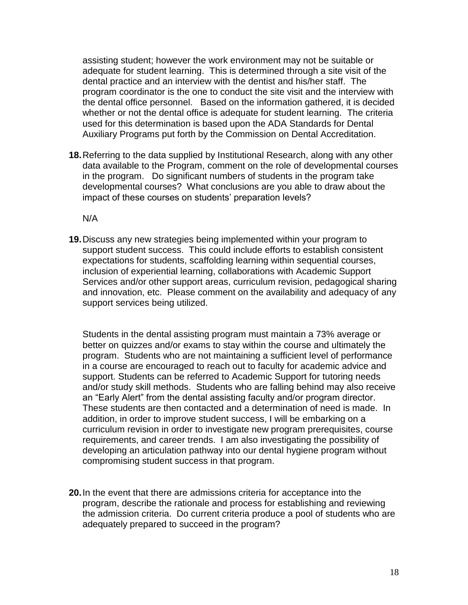assisting student; however the work environment may not be suitable or adequate for student learning. This is determined through a site visit of the dental practice and an interview with the dentist and his/her staff. The program coordinator is the one to conduct the site visit and the interview with the dental office personnel. Based on the information gathered, it is decided whether or not the dental office is adequate for student learning. The criteria used for this determination is based upon the ADA Standards for Dental Auxiliary Programs put forth by the Commission on Dental Accreditation.

**18.**Referring to the data supplied by Institutional Research, along with any other data available to the Program, comment on the role of developmental courses in the program. Do significant numbers of students in the program take developmental courses? What conclusions are you able to draw about the impact of these courses on students' preparation levels?

N/A

**19.**Discuss any new strategies being implemented within your program to support student success. This could include efforts to establish consistent expectations for students, scaffolding learning within sequential courses, inclusion of experiential learning, collaborations with Academic Support Services and/or other support areas, curriculum revision, pedagogical sharing and innovation, etc. Please comment on the availability and adequacy of any support services being utilized.

Students in the dental assisting program must maintain a 73% average or better on quizzes and/or exams to stay within the course and ultimately the program. Students who are not maintaining a sufficient level of performance in a course are encouraged to reach out to faculty for academic advice and support. Students can be referred to Academic Support for tutoring needs and/or study skill methods. Students who are falling behind may also receive an "Early Alert" from the dental assisting faculty and/or program director. These students are then contacted and a determination of need is made. In addition, in order to improve student success, I will be embarking on a curriculum revision in order to investigate new program prerequisites, course requirements, and career trends. I am also investigating the possibility of developing an articulation pathway into our dental hygiene program without compromising student success in that program.

**20.**In the event that there are admissions criteria for acceptance into the program, describe the rationale and process for establishing and reviewing the admission criteria. Do current criteria produce a pool of students who are adequately prepared to succeed in the program?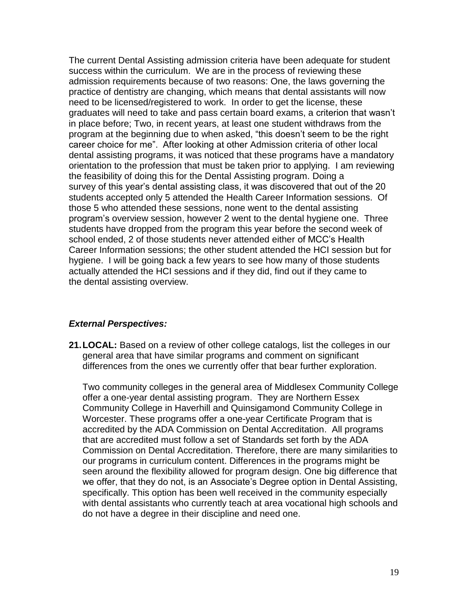The current Dental Assisting admission criteria have been adequate for student success within the curriculum. We are in the process of reviewing these admission requirements because of two reasons: One, the laws governing the practice of dentistry are changing, which means that dental assistants will now need to be licensed/registered to work. In order to get the license, these graduates will need to take and pass certain board exams, a criterion that wasn't in place before; Two, in recent years, at least one student withdraws from the program at the beginning due to when asked, "this doesn't seem to be the right career choice for me". After looking at other Admission criteria of other local dental assisting programs, it was noticed that these programs have a mandatory orientation to the profession that must be taken prior to applying. I am reviewing the feasibility of doing this for the Dental Assisting program. Doing a survey of this year's dental assisting class, it was discovered that out of the 20 students accepted only 5 attended the Health Career Information sessions. Of those 5 who attended these sessions, none went to the dental assisting program's overview session, however 2 went to the dental hygiene one. Three students have dropped from the program this year before the second week of school ended, 2 of those students never attended either of MCC's Health Career Information sessions; the other student attended the HCI session but for hygiene. I will be going back a few years to see how many of those students actually attended the HCI sessions and if they did, find out if they came to the dental assisting overview.

#### *External Perspectives:*

**21.LOCAL:** Based on a review of other college catalogs, list the colleges in our general area that have similar programs and comment on significant differences from the ones we currently offer that bear further exploration.

Two community colleges in the general area of Middlesex Community College offer a one-year dental assisting program. They are Northern Essex Community College in Haverhill and Quinsigamond Community College in Worcester. These programs offer a one-year Certificate Program that is accredited by the ADA Commission on Dental Accreditation. All programs that are accredited must follow a set of Standards set forth by the ADA Commission on Dental Accreditation. Therefore, there are many similarities to our programs in curriculum content. Differences in the programs might be seen around the flexibility allowed for program design. One big difference that we offer, that they do not, is an Associate's Degree option in Dental Assisting, specifically. This option has been well received in the community especially with dental assistants who currently teach at area vocational high schools and do not have a degree in their discipline and need one.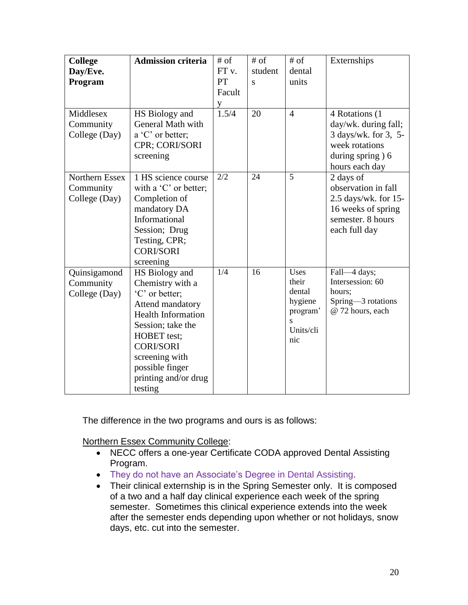| <b>College</b>                               | <b>Admission criteria</b>                                                                                                                                                                                                                    | $#$ of            | $#$ of  | $#$ of                                                             | Externships                                                                                                            |
|----------------------------------------------|----------------------------------------------------------------------------------------------------------------------------------------------------------------------------------------------------------------------------------------------|-------------------|---------|--------------------------------------------------------------------|------------------------------------------------------------------------------------------------------------------------|
| Day/Eve.                                     |                                                                                                                                                                                                                                              | FT <sub>v</sub> . | student | dental                                                             |                                                                                                                        |
| Program                                      |                                                                                                                                                                                                                                              | PT                | S       | units                                                              |                                                                                                                        |
|                                              |                                                                                                                                                                                                                                              | Facult            |         |                                                                    |                                                                                                                        |
|                                              |                                                                                                                                                                                                                                              | y                 |         |                                                                    |                                                                                                                        |
| Middlesex<br>Community<br>College (Day)      | HS Biology and<br>General Math with<br>a 'C' or better;<br>CPR; CORI/SORI<br>screening                                                                                                                                                       | 1.5/4             | 20      | $\overline{4}$                                                     | 4 Rotations (1<br>day/wk. during fall;<br>3 days/wk. for 3, 5-<br>week rotations<br>during spring) 6<br>hours each day |
| Northern Essex<br>Community<br>College (Day) | 1 HS science course<br>with a $^{\circ}$ C' or better;<br>Completion of<br>mandatory DA<br>Informational<br>Session; Drug<br>Testing, CPR;<br><b>CORI/SORI</b><br>screening                                                                  | 2/2               | 24      | 5                                                                  | 2 days of<br>observation in fall<br>2.5 days/wk. for 15-<br>16 weeks of spring<br>semester. 8 hours<br>each full day   |
| Quinsigamond<br>Community<br>College (Day)   | HS Biology and<br>Chemistry with a<br>'C' or better;<br>Attend mandatory<br><b>Health Information</b><br>Session; take the<br><b>HOBET</b> test;<br><b>CORI/SORI</b><br>screening with<br>possible finger<br>printing and/or drug<br>testing | $\overline{1/4}$  | 16      | Uses<br>their<br>dental<br>hygiene<br>program'<br>Units/cli<br>nic | Fall-4 days;<br>Intersession: 60<br>hours;<br>Spring-3 rotations<br>@ 72 hours, each                                   |

The difference in the two programs and ours is as follows:

Northern Essex Community College:

- NECC offers a one-year Certificate CODA approved Dental Assisting Program.
- They do not have an Associate's Degree in Dental Assisting.
- Their clinical externship is in the Spring Semester only. It is composed of a two and a half day clinical experience each week of the spring semester. Sometimes this clinical experience extends into the week after the semester ends depending upon whether or not holidays, snow days, etc. cut into the semester.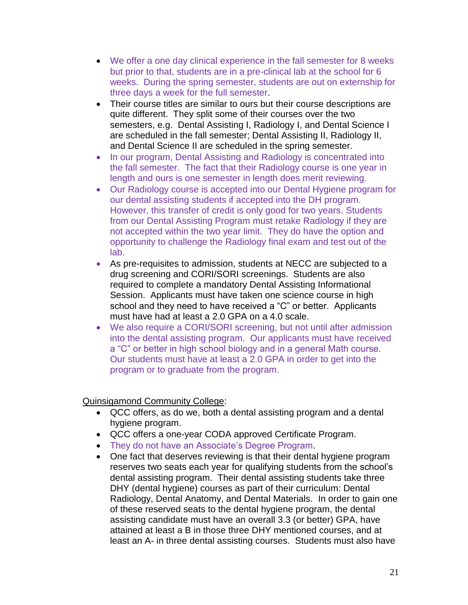- We offer a one day clinical experience in the fall semester for 8 weeks but prior to that, students are in a pre-clinical lab at the school for 6 weeks. During the spring semester, students are out on externship for three days a week for the full semester.
- Their course titles are similar to ours but their course descriptions are quite different. They split some of their courses over the two semesters, e.g. Dental Assisting I, Radiology I, and Dental Science I are scheduled in the fall semester; Dental Assisting II, Radiology II, and Dental Science II are scheduled in the spring semester.
- In our program, Dental Assisting and Radiology is concentrated into the fall semester. The fact that their Radiology course is one year in length and ours is one semester in length does merit reviewing.
- Our Radiology course is accepted into our Dental Hygiene program for our dental assisting students if accepted into the DH program. However, this transfer of credit is only good for two years. Students from our Dental Assisting Program must retake Radiology if they are not accepted within the two year limit. They do have the option and opportunity to challenge the Radiology final exam and test out of the lab.
- As pre-requisites to admission, students at NECC are subjected to a drug screening and CORI/SORI screenings. Students are also required to complete a mandatory Dental Assisting Informational Session. Applicants must have taken one science course in high school and they need to have received a "C" or better. Applicants must have had at least a 2.0 GPA on a 4.0 scale.
- We also require a CORI/SORI screening, but not until after admission into the dental assisting program. Our applicants must have received a "C" or better in high school biology and in a general Math course. Our students must have at least a 2.0 GPA in order to get into the program or to graduate from the program.

Quinsigamond Community College:

- QCC offers, as do we, both a dental assisting program and a dental hygiene program.
- QCC offers a one-year CODA approved Certificate Program.
- They do not have an Associate's Degree Program.
- One fact that deserves reviewing is that their dental hygiene program reserves two seats each year for qualifying students from the school's dental assisting program. Their dental assisting students take three DHY (dental hygiene) courses as part of their curriculum: Dental Radiology, Dental Anatomy, and Dental Materials. In order to gain one of these reserved seats to the dental hygiene program, the dental assisting candidate must have an overall 3.3 (or better) GPA, have attained at least a B in those three DHY mentioned courses, and at least an A- in three dental assisting courses. Students must also have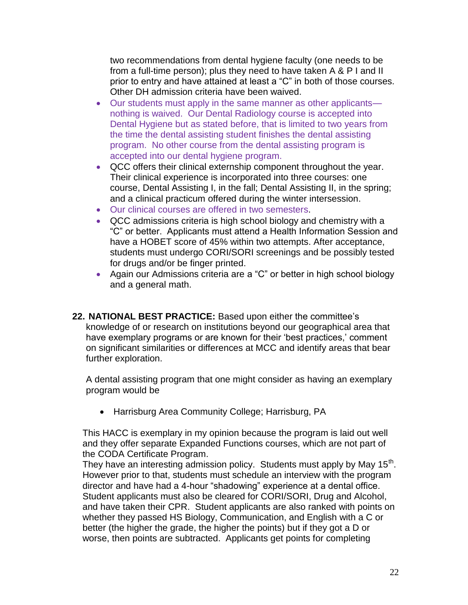two recommendations from dental hygiene faculty (one needs to be from a full-time person); plus they need to have taken A & P I and II prior to entry and have attained at least a "C" in both of those courses. Other DH admission criteria have been waived.

- Our students must apply in the same manner as other applicants nothing is waived. Our Dental Radiology course is accepted into Dental Hygiene but as stated before, that is limited to two years from the time the dental assisting student finishes the dental assisting program. No other course from the dental assisting program is accepted into our dental hygiene program.
- QCC offers their clinical externship component throughout the year. Their clinical experience is incorporated into three courses: one course, Dental Assisting I, in the fall; Dental Assisting II, in the spring; and a clinical practicum offered during the winter intersession.
- Our clinical courses are offered in two semesters.
- QCC admissions criteria is high school biology and chemistry with a "C" or better. Applicants must attend a Health Information Session and have a HOBET score of 45% within two attempts. After acceptance, students must undergo CORI/SORI screenings and be possibly tested for drugs and/or be finger printed.
- Again our Admissions criteria are a "C" or better in high school biology and a general math.
- **22. NATIONAL BEST PRACTICE:** Based upon either the committee's knowledge of or research on institutions beyond our geographical area that have exemplary programs or are known for their 'best practices,' comment on significant similarities or differences at MCC and identify areas that bear further exploration.

A dental assisting program that one might consider as having an exemplary program would be

Harrisburg Area Community College; Harrisburg, PA

This HACC is exemplary in my opinion because the program is laid out well and they offer separate Expanded Functions courses, which are not part of the CODA Certificate Program.

They have an interesting admission policy. Students must apply by May 15<sup>th</sup>. However prior to that, students must schedule an interview with the program director and have had a 4-hour "shadowing" experience at a dental office. Student applicants must also be cleared for CORI/SORI, Drug and Alcohol, and have taken their CPR. Student applicants are also ranked with points on whether they passed HS Biology, Communication, and English with a C or better (the higher the grade, the higher the points) but if they got a D or worse, then points are subtracted. Applicants get points for completing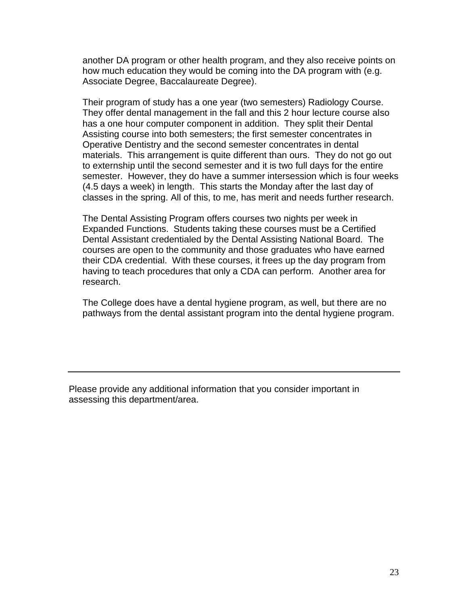another DA program or other health program, and they also receive points on how much education they would be coming into the DA program with (e.g. Associate Degree, Baccalaureate Degree).

Their program of study has a one year (two semesters) Radiology Course. They offer dental management in the fall and this 2 hour lecture course also has a one hour computer component in addition. They split their Dental Assisting course into both semesters; the first semester concentrates in Operative Dentistry and the second semester concentrates in dental materials. This arrangement is quite different than ours. They do not go out to externship until the second semester and it is two full days for the entire semester. However, they do have a summer intersession which is four weeks (4.5 days a week) in length. This starts the Monday after the last day of classes in the spring. All of this, to me, has merit and needs further research.

The Dental Assisting Program offers courses two nights per week in Expanded Functions. Students taking these courses must be a Certified Dental Assistant credentialed by the Dental Assisting National Board. The courses are open to the community and those graduates who have earned their CDA credential. With these courses, it frees up the day program from having to teach procedures that only a CDA can perform. Another area for research.

The College does have a dental hygiene program, as well, but there are no pathways from the dental assistant program into the dental hygiene program.

Please provide any additional information that you consider important in assessing this department/area.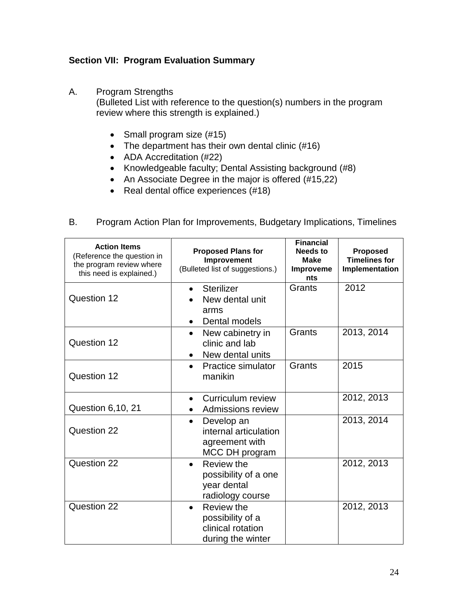## **Section VII: Program Evaluation Summary**

A. Program Strengths

(Bulleted List with reference to the question(s) numbers in the program review where this strength is explained.)

- Small program size (#15)
- The department has their own dental clinic (#16)
- ADA Accreditation (#22)
- Knowledgeable faculty; Dental Assisting background (#8)
- An Associate Degree in the major is offered (#15,22)
- Real dental office experiences (#18)
- B. Program Action Plan for Improvements, Budgetary Implications, Timelines

| <b>Action Items</b><br>(Reference the question in<br>the program review where<br>this need is explained.) | <b>Proposed Plans for</b><br>Improvement<br>(Bulleted list of suggestions.)           | <b>Financial</b><br>Needs to<br><b>Make</b><br>Improveme<br>nts | Proposed<br><b>Timelines for</b><br>Implementation |
|-----------------------------------------------------------------------------------------------------------|---------------------------------------------------------------------------------------|-----------------------------------------------------------------|----------------------------------------------------|
| Question 12                                                                                               | <b>Sterilizer</b><br>$\bullet$<br>New dental unit<br>arms<br>Dental models            | Grants                                                          | 2012                                               |
| Question 12                                                                                               | New cabinetry in<br>$\bullet$<br>clinic and lab<br>New dental units                   | Grants                                                          | 2013, 2014                                         |
| Question 12                                                                                               | <b>Practice simulator</b><br>$\bullet$<br>manikin                                     | Grants                                                          | 2015                                               |
| Question 6,10, 21                                                                                         | Curriculum review<br>Admissions review                                                |                                                                 | 2012, 2013                                         |
| Question 22                                                                                               | Develop an<br>$\bullet$<br>internal articulation<br>agreement with<br>MCC DH program  |                                                                 | 2013, 2014                                         |
| Question 22                                                                                               | Review the<br>possibility of a one<br>year dental<br>radiology course                 |                                                                 | 2012, 2013                                         |
| Question 22                                                                                               | Review the<br>$\bullet$<br>possibility of a<br>clinical rotation<br>during the winter |                                                                 | 2012, 2013                                         |